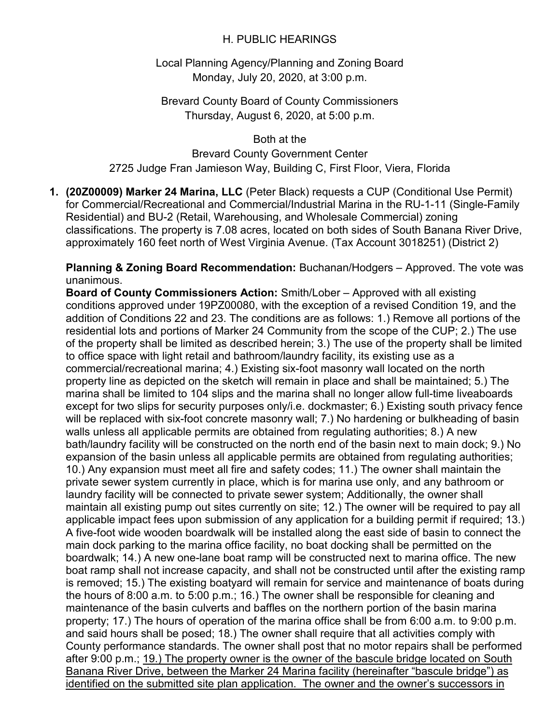## H. PUBLIC HEARINGS

Local Planning Agency/Planning and Zoning Board Monday, July 20, 2020, at 3:00 p.m.

Brevard County Board of County Commissioners Thursday, August 6, 2020, at 5:00 p.m.

Both at the Brevard County Government Center 2725 Judge Fran Jamieson Way, Building C, First Floor, Viera, Florida

**1. (20Z00009) Marker 24 Marina, LLC** (Peter Black) requests a CUP (Conditional Use Permit) for Commercial/Recreational and Commercial/Industrial Marina in the RU-1-11 (Single-Family Residential) and BU-2 (Retail, Warehousing, and Wholesale Commercial) zoning classifications. The property is 7.08 acres, located on both sides of South Banana River Drive, approximately 160 feet north of West Virginia Avenue. (Tax Account 3018251) (District 2)

**Planning & Zoning Board Recommendation:** Buchanan/Hodgers – Approved. The vote was unanimous.

**Board of County Commissioners Action:** Smith/Lober – Approved with all existing conditions approved under 19PZ00080, with the exception of a revised Condition 19, and the addition of Conditions 22 and 23. The conditions are as follows: 1.) Remove all portions of the residential lots and portions of Marker 24 Community from the scope of the CUP; 2.) The use of the property shall be limited as described herein; 3.) The use of the property shall be limited to office space with light retail and bathroom/laundry facility, its existing use as a commercial/recreational marina; 4.) Existing six-foot masonry wall located on the north property line as depicted on the sketch will remain in place and shall be maintained; 5.) The marina shall be limited to 104 slips and the marina shall no longer allow full-time liveaboards except for two slips for security purposes only/i.e. dockmaster; 6.) Existing south privacy fence will be replaced with six-foot concrete masonry wall; 7.) No hardening or bulkheading of basin walls unless all applicable permits are obtained from regulating authorities; 8.) A new bath/laundry facility will be constructed on the north end of the basin next to main dock; 9.) No expansion of the basin unless all applicable permits are obtained from regulating authorities; 10.) Any expansion must meet all fire and safety codes; 11.) The owner shall maintain the private sewer system currently in place, which is for marina use only, and any bathroom or laundry facility will be connected to private sewer system; Additionally, the owner shall maintain all existing pump out sites currently on site; 12.) The owner will be required to pay all applicable impact fees upon submission of any application for a building permit if required; 13.) A five-foot wide wooden boardwalk will be installed along the east side of basin to connect the main dock parking to the marina office facility, no boat docking shall be permitted on the boardwalk; 14.) A new one-lane boat ramp will be constructed next to marina office. The new boat ramp shall not increase capacity, and shall not be constructed until after the existing ramp is removed; 15.) The existing boatyard will remain for service and maintenance of boats during the hours of 8:00 a.m. to 5:00 p.m.; 16.) The owner shall be responsible for cleaning and maintenance of the basin culverts and baffles on the northern portion of the basin marina property; 17.) The hours of operation of the marina office shall be from 6:00 a.m. to 9:00 p.m. and said hours shall be posed; 18.) The owner shall require that all activities comply with County performance standards. The owner shall post that no motor repairs shall be performed after 9:00 p.m.; 19.) The property owner is the owner of the bascule bridge located on South Banana River Drive, between the Marker 24 Marina facility (hereinafter "bascule bridge") as identified on the submitted site plan application. The owner and the owner's successors in